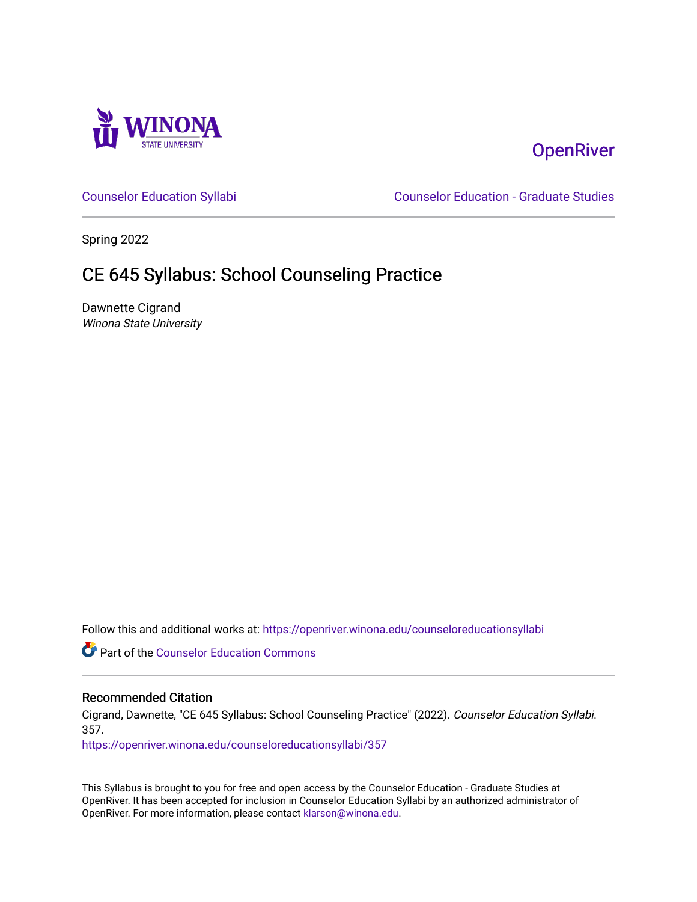

# **OpenRiver**

[Counselor Education Syllabi](https://openriver.winona.edu/counseloreducationsyllabi) [Counselor Education - Graduate Studies](https://openriver.winona.edu/counseloreducation) 

Spring 2022

# CE 645 Syllabus: School Counseling Practice

Dawnette Cigrand Winona State University

Follow this and additional works at: [https://openriver.winona.edu/counseloreducationsyllabi](https://openriver.winona.edu/counseloreducationsyllabi?utm_source=openriver.winona.edu%2Fcounseloreducationsyllabi%2F357&utm_medium=PDF&utm_campaign=PDFCoverPages)

Part of the [Counselor Education Commons](http://network.bepress.com/hgg/discipline/1278?utm_source=openriver.winona.edu%2Fcounseloreducationsyllabi%2F357&utm_medium=PDF&utm_campaign=PDFCoverPages) 

#### Recommended Citation

Cigrand, Dawnette, "CE 645 Syllabus: School Counseling Practice" (2022). Counselor Education Syllabi. 357.

[https://openriver.winona.edu/counseloreducationsyllabi/357](https://openriver.winona.edu/counseloreducationsyllabi/357?utm_source=openriver.winona.edu%2Fcounseloreducationsyllabi%2F357&utm_medium=PDF&utm_campaign=PDFCoverPages)

This Syllabus is brought to you for free and open access by the Counselor Education - Graduate Studies at OpenRiver. It has been accepted for inclusion in Counselor Education Syllabi by an authorized administrator of OpenRiver. For more information, please contact [klarson@winona.edu](mailto:klarson@winona.edu).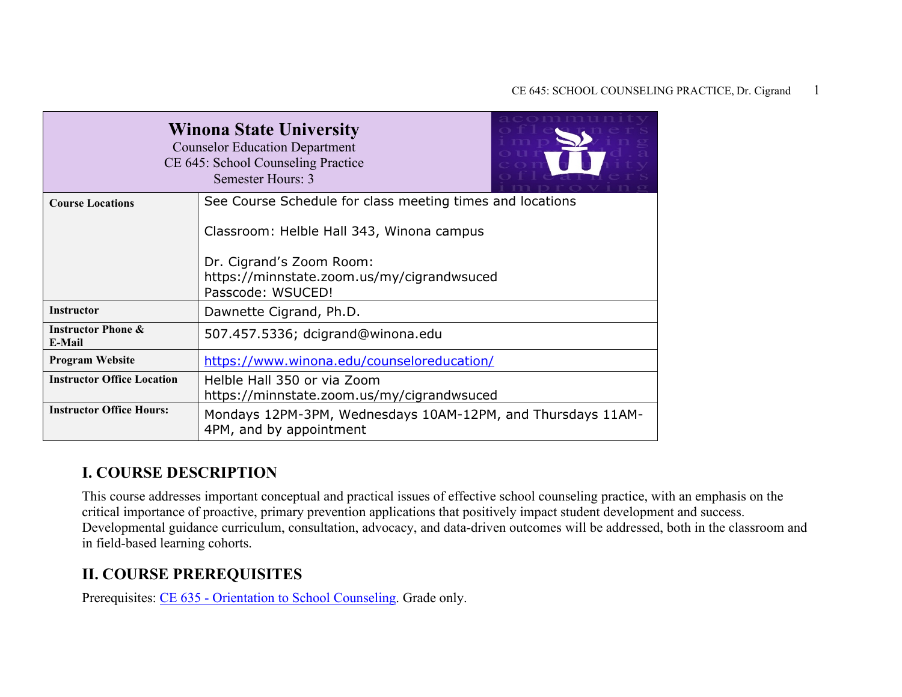|                                                                      | <b>Winona State University</b><br><b>Counselor Education Department</b><br>CE 645: School Counseling Practice<br>Semester Hours: 3                                                                    |
|----------------------------------------------------------------------|-------------------------------------------------------------------------------------------------------------------------------------------------------------------------------------------------------|
| <b>Course Locations</b>                                              | See Course Schedule for class meeting times and locations<br>Classroom: Helble Hall 343, Winona campus<br>Dr. Cigrand's Zoom Room:<br>https://minnstate.zoom.us/my/cigrandwsuced<br>Passcode: WSUCED! |
| <b>Instructor</b>                                                    | Dawnette Cigrand, Ph.D.                                                                                                                                                                               |
| <b>Instructor Phone &amp;</b><br>E-Mail                              | 507.457.5336; dcigrand@winona.edu                                                                                                                                                                     |
| <b>Program Website</b>                                               | https://www.winona.edu/counseloreducation/                                                                                                                                                            |
| <b>Instructor Office Location</b><br><b>Instructor Office Hours:</b> | Helble Hall 350 or via Zoom<br>https://minnstate.zoom.us/my/cigrandwsuced                                                                                                                             |
|                                                                      | Mondays 12PM-3PM, Wednesdays 10AM-12PM, and Thursdays 11AM-<br>4PM, and by appointment                                                                                                                |

### **I. COURSE DESCRIPTION**

This course addresses important conceptual and practical issues of effective school counseling practice, with an emphasis on the critical importance of proactive, primary prevention applications that positively impact student development and success. Developmental guidance curriculum, consultation, advocacy, and data-driven outcomes will be addressed, both in the classroom and in field-based learning cohorts.

### **II. COURSE PREREQUISITES**

Prerequisites: CE 635 - [Orientation to School Counseling.](http://catalog.winona.edu/preview_program.php?catoid=17&poid=3391#tt6249) Grade only.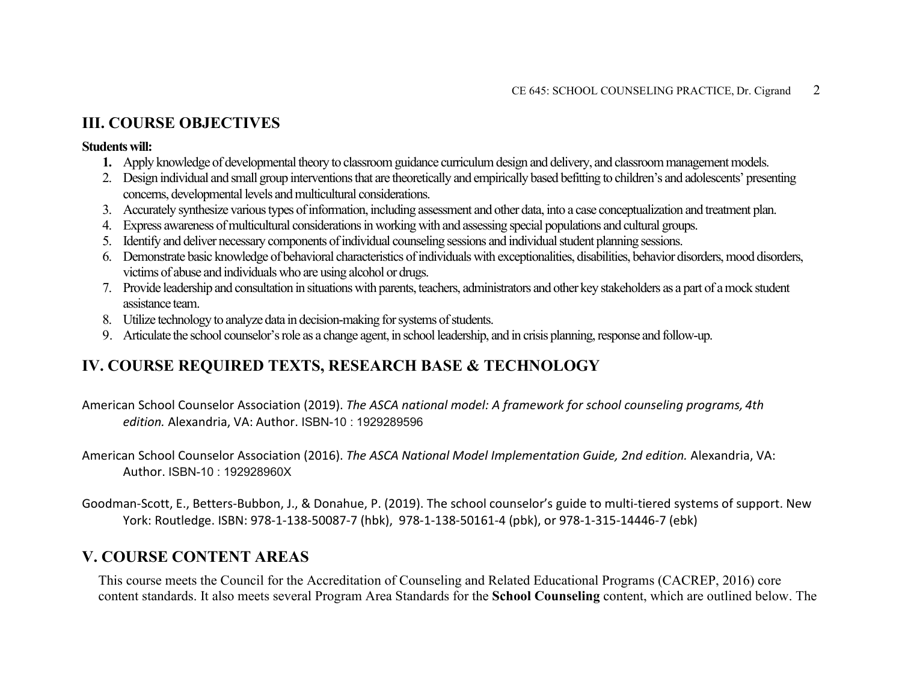### **III. COURSE OBJECTIVES**

#### **Students will:**

- **1.** Apply knowledge of developmental theory to classroom guidance curriculum design and delivery, and classroom management models.
- 2. Design individual and small group interventions that are theoretically and empirically based befitting to children's and adolescents' presenting concerns, developmental levels and multicultural considerations.
- 3. Accurately synthesize various types of information, including assessment and other data, into a case conceptualization and treatment plan.
- 4. Express awareness of multicultural considerations in working with and assessing special populations and cultural groups.
- 5. Identify and deliver necessary components of individual counseling sessions and individual student planning sessions.
- 6. Demonstrate basic knowledge of behavioral characteristics of individuals with exceptionalities, disabilities, behavior disorders, mood disorders, victims of abuse and individuals who are using alcohol or drugs.
- 7. Provide leadership and consultation in situations with parents, teachers, administrators and other key stakeholders as a part of a mock student assistance team.
- 8. Utilize technology to analyze data in decision-making for systems of students.
- 9. Articulate the school counselor's role as a change agent, in school leadership, and in crisis planning, response and follow-up.

## **IV. COURSE REQUIRED TEXTS, RESEARCH BASE & TECHNOLOGY**

American School Counselor Association (2019). *The ASCA national model: A framework for school counseling programs, 4th edition.* Alexandria, VA: Author. ISBN-10 : 1929289596

American School Counselor Association (2016). *The ASCA National Model Implementation Guide, 2nd edition.* Alexandria, VA: Author. ISBN-10 : 192928960X

Goodman-Scott, E., Betters-Bubbon, J., & Donahue, P. (2019). The school counselor's guide to multi-tiered systems of support. New York: Routledge. ISBN: 978-1-138-50087-7 (hbk), 978-1-138-50161-4 (pbk), or 978-1-315-14446-7 (ebk)

### **V. COURSE CONTENT AREAS**

This course meets the Council for the Accreditation of Counseling and Related Educational Programs (CACREP, 2016) core content standards. It also meets several Program Area Standards for the **School Counseling** content, which are outlined below. The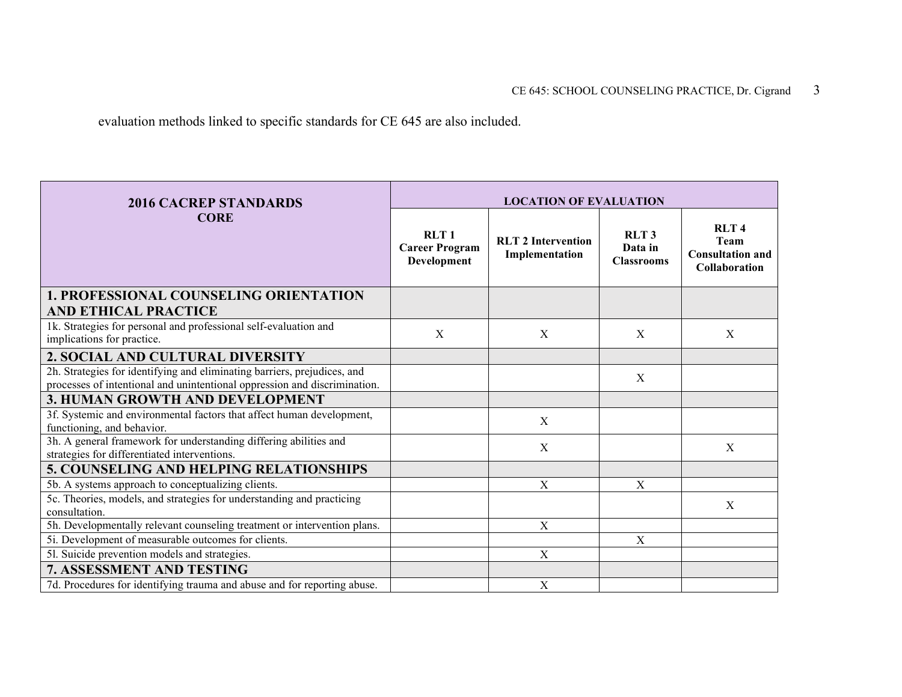evaluation methods linked to specific standards for CE 645 are also included.

| <b>2016 CACREP STANDARDS</b>                                                                                                                          | <b>LOCATION OF EVALUATION</b>                |                                             |                                                  |                                                                        |  |  |
|-------------------------------------------------------------------------------------------------------------------------------------------------------|----------------------------------------------|---------------------------------------------|--------------------------------------------------|------------------------------------------------------------------------|--|--|
| <b>CORE</b>                                                                                                                                           | RLT1<br><b>Career Program</b><br>Development | <b>RLT 2 Intervention</b><br>Implementation | RLT <sub>3</sub><br>Data in<br><b>Classrooms</b> | <b>RLT4</b><br>Team<br><b>Consultation and</b><br><b>Collaboration</b> |  |  |
| <b>1. PROFESSIONAL COUNSELING ORIENTATION</b><br><b>AND ETHICAL PRACTICE</b>                                                                          |                                              |                                             |                                                  |                                                                        |  |  |
| 1k. Strategies for personal and professional self-evaluation and<br>implications for practice.                                                        | X                                            | X                                           | X                                                | X                                                                      |  |  |
| 2. SOCIAL AND CULTURAL DIVERSITY                                                                                                                      |                                              |                                             |                                                  |                                                                        |  |  |
| 2h. Strategies for identifying and eliminating barriers, prejudices, and<br>processes of intentional and unintentional oppression and discrimination. |                                              |                                             | X                                                |                                                                        |  |  |
| 3. HUMAN GROWTH AND DEVELOPMENT                                                                                                                       |                                              |                                             |                                                  |                                                                        |  |  |
| 3f. Systemic and environmental factors that affect human development,<br>functioning, and behavior.                                                   |                                              | X                                           |                                                  |                                                                        |  |  |
| 3h. A general framework for understanding differing abilities and<br>strategies for differentiated interventions.                                     |                                              | X                                           |                                                  | X                                                                      |  |  |
| 5. COUNSELING AND HELPING RELATIONSHIPS                                                                                                               |                                              |                                             |                                                  |                                                                        |  |  |
| 5b. A systems approach to conceptualizing clients.                                                                                                    |                                              | $\mathbf X$                                 | X                                                |                                                                        |  |  |
| 5c. Theories, models, and strategies for understanding and practicing<br>consultation.                                                                |                                              |                                             |                                                  | $\mathbf X$                                                            |  |  |
| 5h. Developmentally relevant counseling treatment or intervention plans.                                                                              |                                              | X                                           |                                                  |                                                                        |  |  |
| 5i. Development of measurable outcomes for clients.                                                                                                   |                                              |                                             | $\mathbf{X}$                                     |                                                                        |  |  |
| 51. Suicide prevention models and strategies.                                                                                                         |                                              | $\mathbf X$                                 |                                                  |                                                                        |  |  |
| <b>7. ASSESSMENT AND TESTING</b>                                                                                                                      |                                              |                                             |                                                  |                                                                        |  |  |
| 7d. Procedures for identifying trauma and abuse and for reporting abuse.                                                                              |                                              | X                                           |                                                  |                                                                        |  |  |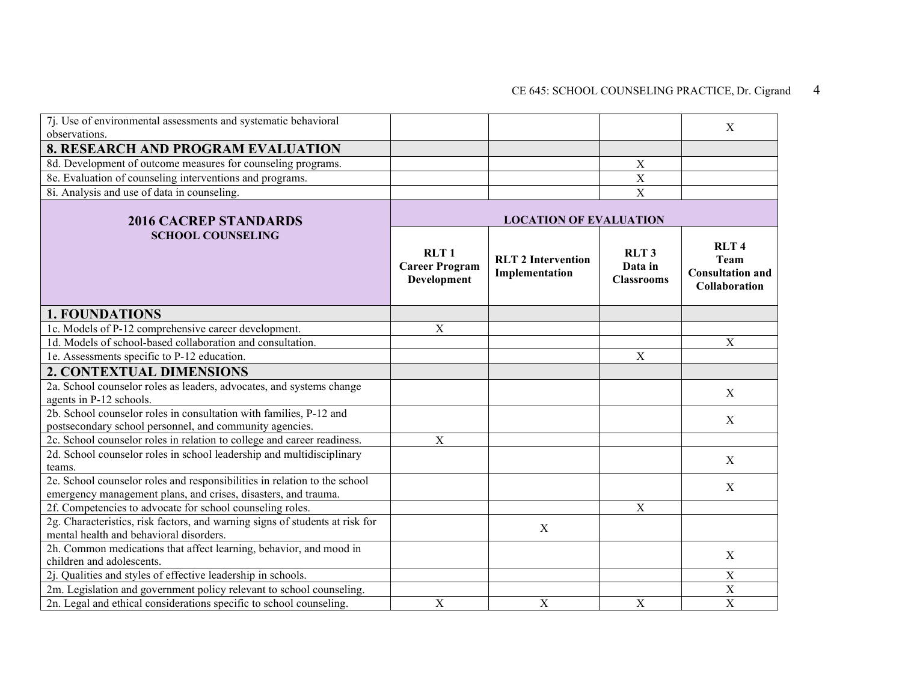| 7j. Use of environmental assessments and systematic behavioral<br>observations.                                                             |                                                          |                                             |                                                  | X                                                                      |
|---------------------------------------------------------------------------------------------------------------------------------------------|----------------------------------------------------------|---------------------------------------------|--------------------------------------------------|------------------------------------------------------------------------|
| <b>8. RESEARCH AND PROGRAM EVALUATION</b>                                                                                                   |                                                          |                                             |                                                  |                                                                        |
| 8d. Development of outcome measures for counseling programs.                                                                                |                                                          |                                             | $\boldsymbol{X}$                                 |                                                                        |
| 8e. Evaluation of counseling interventions and programs.                                                                                    |                                                          |                                             | $\overline{X}$                                   |                                                                        |
| 8i. Analysis and use of data in counseling.                                                                                                 |                                                          |                                             | $\mathbf X$                                      |                                                                        |
| <b>2016 CACREP STANDARDS</b>                                                                                                                |                                                          | <b>LOCATION OF EVALUATION</b>               |                                                  |                                                                        |
| <b>SCHOOL COUNSELING</b>                                                                                                                    | RLT <sub>1</sub><br><b>Career Program</b><br>Development | <b>RLT 2 Intervention</b><br>Implementation | RLT <sub>3</sub><br>Data in<br><b>Classrooms</b> | <b>RLT4</b><br><b>Team</b><br><b>Consultation and</b><br>Collaboration |
| <b>1. FOUNDATIONS</b>                                                                                                                       |                                                          |                                             |                                                  |                                                                        |
| 1c. Models of P-12 comprehensive career development.                                                                                        | $\boldsymbol{\mathrm{X}}$                                |                                             |                                                  |                                                                        |
| 1d. Models of school-based collaboration and consultation.                                                                                  |                                                          |                                             |                                                  | $\mathbf X$                                                            |
| 1e. Assessments specific to P-12 education.                                                                                                 |                                                          |                                             | $\mathbf X$                                      |                                                                        |
| <b>2. CONTEXTUAL DIMENSIONS</b>                                                                                                             |                                                          |                                             |                                                  |                                                                        |
| 2a. School counselor roles as leaders, advocates, and systems change<br>agents in P-12 schools.                                             |                                                          |                                             |                                                  | X                                                                      |
| 2b. School counselor roles in consultation with families, P-12 and<br>postsecondary school personnel, and community agencies.               |                                                          |                                             |                                                  | X                                                                      |
| 2c. School counselor roles in relation to college and career readiness.                                                                     | $\mathbf X$                                              |                                             |                                                  |                                                                        |
| 2d. School counselor roles in school leadership and multidisciplinary<br>teams.                                                             |                                                          |                                             |                                                  | $\mathbf X$                                                            |
| 2e. School counselor roles and responsibilities in relation to the school<br>emergency management plans, and crises, disasters, and trauma. |                                                          |                                             |                                                  | X                                                                      |
| 2f. Competencies to advocate for school counseling roles.                                                                                   |                                                          |                                             | X                                                |                                                                        |
| 2g. Characteristics, risk factors, and warning signs of students at risk for<br>mental health and behavioral disorders.                     |                                                          | X                                           |                                                  |                                                                        |
| 2h. Common medications that affect learning, behavior, and mood in                                                                          |                                                          |                                             |                                                  | X                                                                      |
| children and adolescents.                                                                                                                   |                                                          |                                             |                                                  |                                                                        |
| 2j. Qualities and styles of effective leadership in schools.<br>2m. Legislation and government policy relevant to school counseling.        |                                                          |                                             |                                                  | $\mathbf X$<br>X                                                       |
| 2n. Legal and ethical considerations specific to school counseling.                                                                         | $\boldsymbol{\mathrm{X}}$                                | $\mathbf X$                                 | $\mathbf X$                                      | $\mathbf X$                                                            |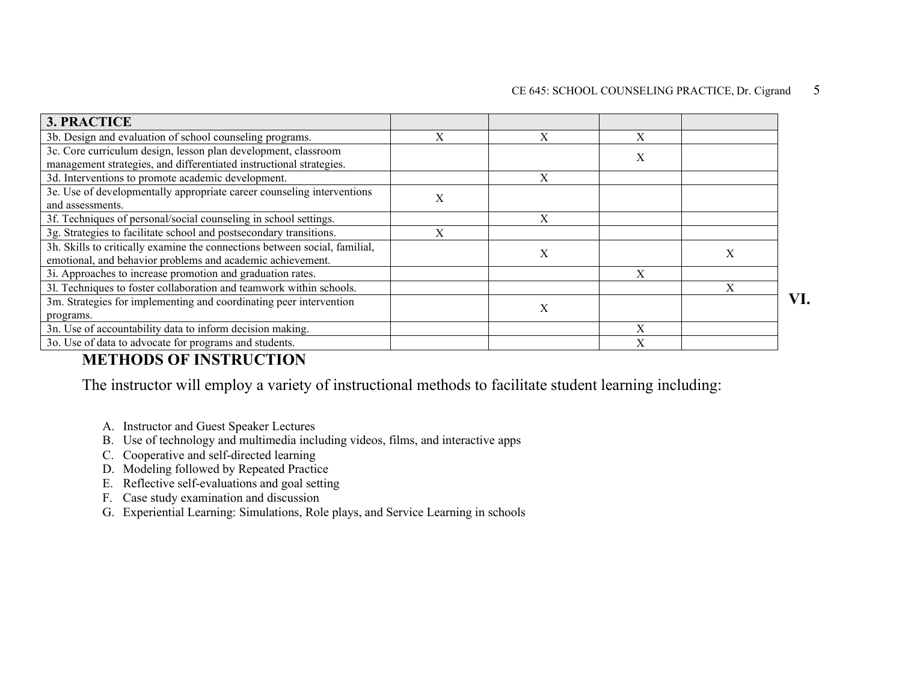| <b>3. PRACTICE</b>                                                                                                                       |   |   |   |   |     |
|------------------------------------------------------------------------------------------------------------------------------------------|---|---|---|---|-----|
| 3b. Design and evaluation of school counseling programs.                                                                                 |   |   |   |   |     |
| 3c. Core curriculum design, lesson plan development, classroom<br>management strategies, and differentiated instructional strategies.    |   |   | Х |   |     |
| 3d. Interventions to promote academic development.                                                                                       |   | X |   |   |     |
| 3e. Use of developmentally appropriate career counseling interventions<br>and assessments.                                               | X |   |   |   |     |
| 3f. Techniques of personal/social counseling in school settings.                                                                         |   | X |   |   |     |
| 3g. Strategies to facilitate school and postsecondary transitions.                                                                       |   |   |   |   |     |
| 3h. Skills to critically examine the connections between social, familial,<br>emotional, and behavior problems and academic achievement. |   | X |   | X |     |
| 3i. Approaches to increase promotion and graduation rates.                                                                               |   |   | X |   |     |
| 31. Techniques to foster collaboration and teamwork within schools.                                                                      |   |   |   | X |     |
| 3m. Strategies for implementing and coordinating peer intervention<br>programs.                                                          |   | X |   |   | VI. |
| 3n. Use of accountability data to inform decision making.                                                                                |   |   | X |   |     |
| 3o. Use of data to advocate for programs and students.                                                                                   |   |   | X |   |     |

### **METHODS OF INSTRUCTION**

The instructor will employ a variety of instructional methods to facilitate student learning including:

- A. Instructor and Guest Speaker Lectures
- B. Use of technology and multimedia including videos, films, and interactive apps
- C. Cooperative and self-directed learning
- D. Modeling followed by Repeated Practice
- E. Reflective self-evaluations and goal setting
- F. Case study examination and discussion
- G. Experiential Learning: Simulations, Role plays, and Service Learning in schools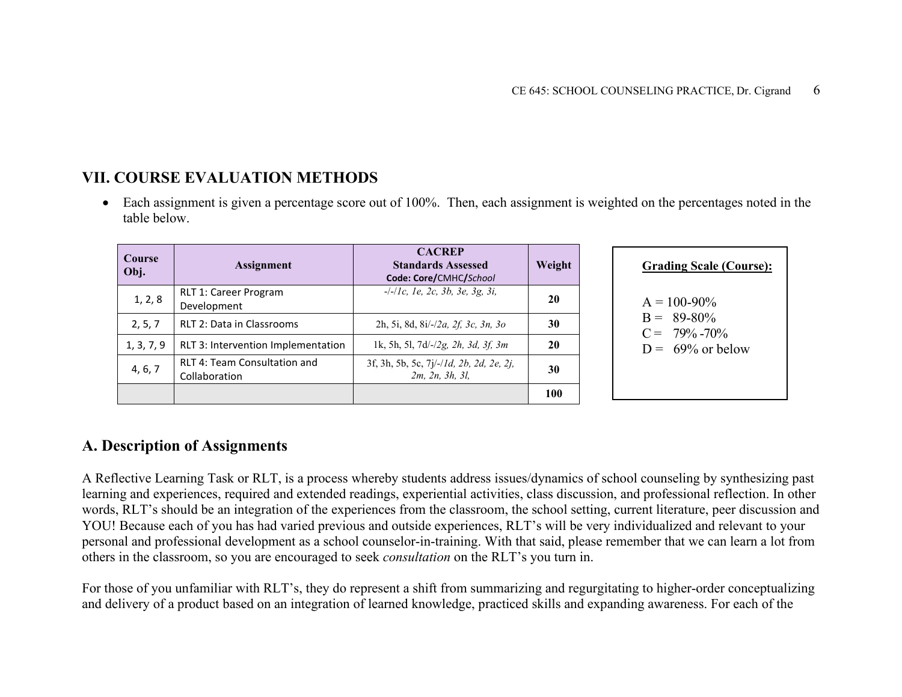## **VII. COURSE EVALUATION METHODS**

• Each assignment is given a percentage score out of 100%. Then, each assignment is weighted on the percentages noted in the table below.

| Course<br>Obj. | <b>Assignment</b>                                    | <b>CACREP</b><br><b>Standards Assessed</b><br>Code: Core/CMHC/School    | Weight |  |
|----------------|------------------------------------------------------|-------------------------------------------------------------------------|--------|--|
| 1, 2, 8        | <b>RLT 1: Career Program</b><br>Development          | $-/-/1c$ , 1e, 2c, 3b, 3e, 3g, 3i,                                      | 20     |  |
| 2, 5, 7        | RLT 2: Data in Classrooms                            | 2h, 5i, 8d, 8i/-/2a, 2f, 3c, 3n, 3o                                     | 30     |  |
| 1, 3, 7, 9     | RLT 3: Intervention Implementation                   | 1k, 5h, 5l, 7d/-/2g, 2h, 3d, 3f, 3m                                     | 20     |  |
| 4, 6, 7        | <b>RLT 4: Team Consultation and</b><br>Collaboration | 3f, 3h, 5b, 5c, 7j/-/1d, 2b, 2d, 2e, 2j,<br>$2m$ , $2n$ , $3h$ , $3l$ , | 30     |  |
|                |                                                      |                                                                         | 100    |  |

| <b>Grading Scale (Course):</b>                                              |  |
|-----------------------------------------------------------------------------|--|
| $A = 100-90\%$<br>$B = 89-80\%$<br>$C = 79\% - 70\%$<br>$D = 69\%$ or below |  |

### **A. Description of Assignments**

A Reflective Learning Task or RLT, is a process whereby students address issues/dynamics of school counseling by synthesizing past learning and experiences, required and extended readings, experiential activities, class discussion, and professional reflection. In other words, RLT's should be an integration of the experiences from the classroom, the school setting, current literature, peer discussion and YOU! Because each of you has had varied previous and outside experiences, RLT's will be very individualized and relevant to your personal and professional development as a school counselor-in-training. With that said, please remember that we can learn a lot from others in the classroom, so you are encouraged to seek *consultation* on the RLT's you turn in.

For those of you unfamiliar with RLT's, they do represent a shift from summarizing and regurgitating to higher-order conceptualizing and delivery of a product based on an integration of learned knowledge, practiced skills and expanding awareness. For each of the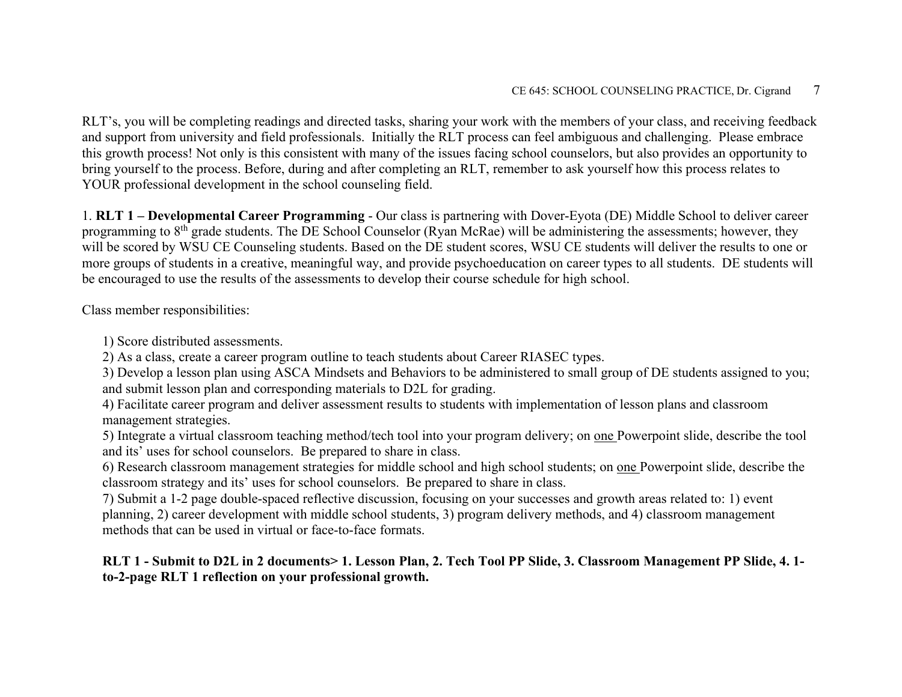RLT's, you will be completing readings and directed tasks, sharing your work with the members of your class, and receiving feedback and support from university and field professionals. Initially the RLT process can feel ambiguous and challenging. Please embrace this growth process! Not only is this consistent with many of the issues facing school counselors, but also provides an opportunity to bring yourself to the process. Before, during and after completing an RLT, remember to ask yourself how this process relates to YOUR professional development in the school counseling field.

1. **RLT 1 – Developmental Career Programming** - Our class is partnering with Dover-Eyota (DE) Middle School to deliver career programming to 8<sup>th</sup> grade students. The DE School Counselor (Ryan McRae) will be administering the assessments; however, they will be scored by WSU CE Counseling students. Based on the DE student scores, WSU CE students will deliver the results to one or more groups of students in a creative, meaningful way, and provide psychoeducation on career types to all students. DE students will be encouraged to use the results of the assessments to develop their course schedule for high school.

Class member responsibilities:

1) Score distributed assessments.

2) As a class, create a career program outline to teach students about Career RIASEC types.

3) Develop a lesson plan using ASCA Mindsets and Behaviors to be administered to small group of DE students assigned to you; and submit lesson plan and corresponding materials to D2L for grading.

4) Facilitate career program and deliver assessment results to students with implementation of lesson plans and classroom management strategies.

5) Integrate a virtual classroom teaching method/tech tool into your program delivery; on one Powerpoint slide, describe the tool and its' uses for school counselors. Be prepared to share in class.

6) Research classroom management strategies for middle school and high school students; on one Powerpoint slide, describe the classroom strategy and its' uses for school counselors. Be prepared to share in class.

7) Submit a 1-2 page double-spaced reflective discussion, focusing on your successes and growth areas related to: 1) event planning, 2) career development with middle school students, 3) program delivery methods, and 4) classroom management methods that can be used in virtual or face-to-face formats.

**RLT 1 - Submit to D2L in 2 documents> 1. Lesson Plan, 2. Tech Tool PP Slide, 3. Classroom Management PP Slide, 4. 1 to-2-page RLT 1 reflection on your professional growth.**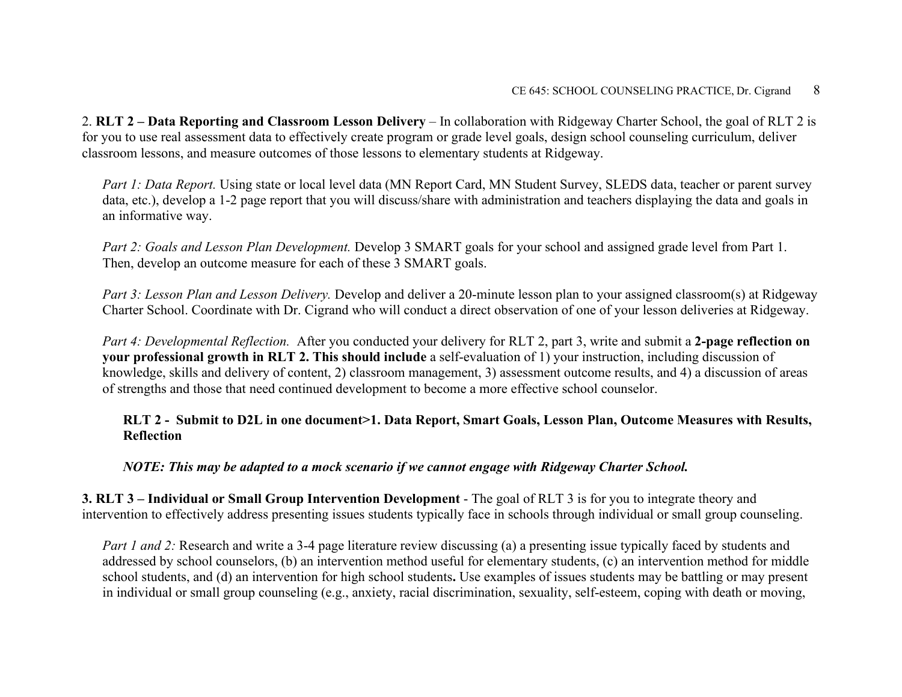2. **RLT 2 – Data Reporting and Classroom Lesson Delivery** – In collaboration with Ridgeway Charter School, the goal of RLT 2 is for you to use real assessment data to effectively create program or grade level goals, design school counseling curriculum, deliver classroom lessons, and measure outcomes of those lessons to elementary students at Ridgeway.

*Part 1: Data Report.* Using state or local level data (MN Report Card, MN Student Survey, SLEDS data, teacher or parent survey data, etc.), develop a 1-2 page report that you will discuss/share with administration and teachers displaying the data and goals in an informative way.

*Part 2: Goals and Lesson Plan Development.* Develop 3 SMART goals for your school and assigned grade level from Part 1. Then, develop an outcome measure for each of these 3 SMART goals.

*Part 3: Lesson Plan and Lesson Delivery.* Develop and deliver a 20-minute lesson plan to your assigned classroom(s) at Ridgeway Charter School. Coordinate with Dr. Cigrand who will conduct a direct observation of one of your lesson deliveries at Ridgeway.

*Part 4: Developmental Reflection.* After you conducted your delivery for RLT 2, part 3, write and submit a **2-page reflection on your professional growth in RLT 2. This should include** a self-evaluation of 1) your instruction, including discussion of knowledge, skills and delivery of content, 2) classroom management, 3) assessment outcome results, and 4) a discussion of areas of strengths and those that need continued development to become a more effective school counselor.

**RLT 2 - Submit to D2L in one document>1. Data Report, Smart Goals, Lesson Plan, Outcome Measures with Results, Reflection**

*NOTE: This may be adapted to a mock scenario if we cannot engage with Ridgeway Charter School.* 

**3. RLT 3 – Individual or Small Group Intervention Development** - The goal of RLT 3 is for you to integrate theory and intervention to effectively address presenting issues students typically face in schools through individual or small group counseling.

*Part 1 and 2:* Research and write a 3-4 page literature review discussing (a) a presenting issue typically faced by students and addressed by school counselors, (b) an intervention method useful for elementary students, (c) an intervention method for middle school students, and (d) an intervention for high school students**.** Use examples of issues students may be battling or may present in individual or small group counseling (e.g., anxiety, racial discrimination, sexuality, self-esteem, coping with death or moving,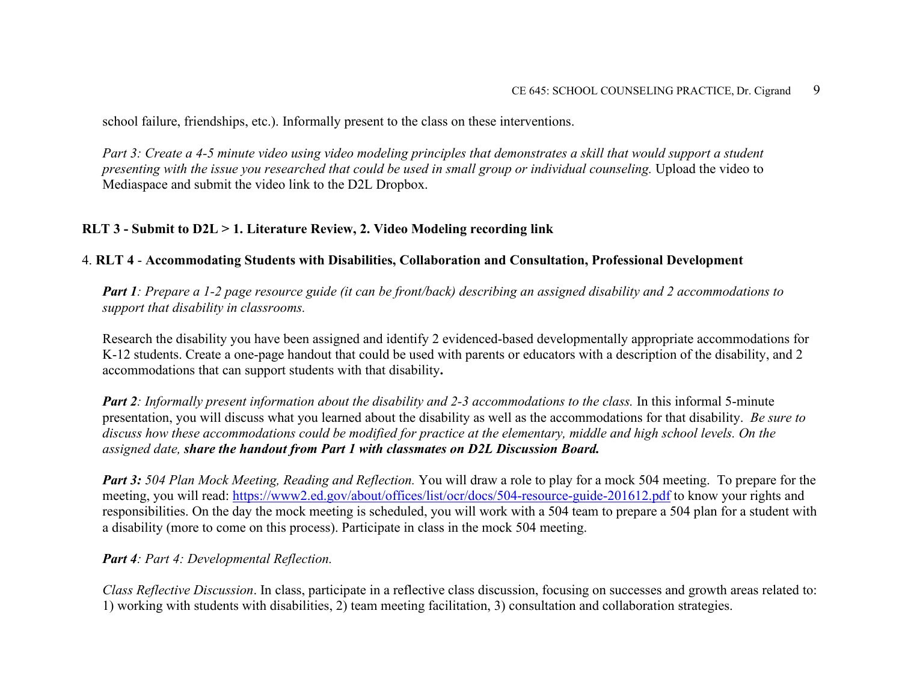school failure, friendships, etc.). Informally present to the class on these interventions.

*Part 3: Create a 4-5 minute video using video modeling principles that demonstrates a skill that would support a student presenting with the issue you researched that could be used in small group or individual counseling.* Upload the video to Mediaspace and submit the video link to the D2L Dropbox.

#### **RLT 3 - Submit to D2L > 1. Literature Review, 2. Video Modeling recording link**

#### 4. **RLT 4** - **Accommodating Students with Disabilities, Collaboration and Consultation, Professional Development**

*Part 1: Prepare a 1-2 page resource guide (it can be front/back) describing an assigned disability and 2 accommodations to support that disability in classrooms.*

Research the disability you have been assigned and identify 2 evidenced-based developmentally appropriate accommodations for K-12 students. Create a one-page handout that could be used with parents or educators with a description of the disability, and 2 accommodations that can support students with that disability**.** 

*Part 2: Informally present information about the disability and 2-3 accommodations to the class.* In this informal 5-minute presentation, you will discuss what you learned about the disability as well as the accommodations for that disability. *Be sure to discuss how these accommodations could be modified for practice at the elementary, middle and high school levels. On the assigned date, share the handout from Part 1 with classmates on D2L Discussion Board.*

*Part 3: 504 Plan Mock Meeting, Reading and Reflection.* You will draw a role to play for a mock 504 meeting. To prepare for the meeting, you will read:<https://www2.ed.gov/about/offices/list/ocr/docs/504-resource-guide-201612.pdf> to know your rights and responsibilities. On the day the mock meeting is scheduled, you will work with a 504 team to prepare a 504 plan for a student with a disability (more to come on this process). Participate in class in the mock 504 meeting.

#### *Part 4: Part 4: Developmental Reflection.*

*Class Reflective Discussion*. In class, participate in a reflective class discussion, focusing on successes and growth areas related to: 1) working with students with disabilities, 2) team meeting facilitation, 3) consultation and collaboration strategies.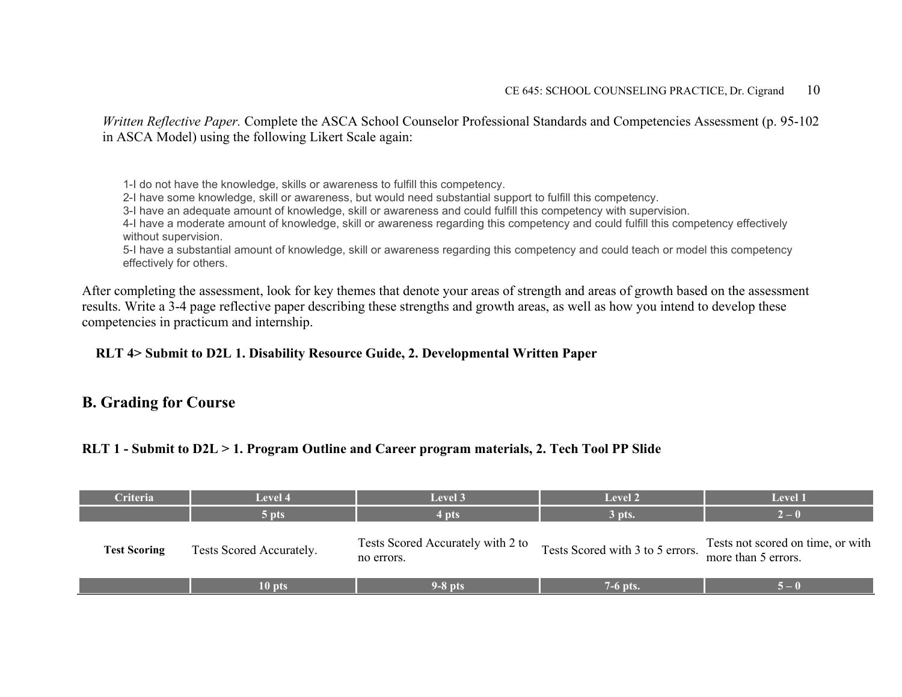*Written Reflective Paper.* Complete the ASCA School Counselor Professional Standards and Competencies Assessment (p. 95-102 in ASCA Model) using the following Likert Scale again:

1-I do not have the knowledge, skills or awareness to fulfill this competency.

2-I have some knowledge, skill or awareness, but would need substantial support to fulfill this competency.

3-I have an adequate amount of knowledge, skill or awareness and could fulfill this competency with supervision.

4-I have a moderate amount of knowledge, skill or awareness regarding this competency and could fulfill this competency effectively without supervision.

5-I have a substantial amount of knowledge, skill or awareness regarding this competency and could teach or model this competency effectively for others.

After completing the assessment, look for key themes that denote your areas of strength and areas of growth based on the assessment results. Write a 3-4 page reflective paper describing these strengths and growth areas, as well as how you intend to develop these competencies in practicum and internship.

#### **RLT 4> Submit to D2L 1. Disability Resource Guide, 2. Developmental Written Paper**

### **B. Grading for Course**

#### **RLT 1 - Submit to D2L > 1. Program Outline and Career program materials, 2. Tech Tool PP Slide**

| <b>Criteria</b>     | Level 4                  | Level 3                                         | <b>Level 2</b>                   | Level 1                                                  |
|---------------------|--------------------------|-------------------------------------------------|----------------------------------|----------------------------------------------------------|
|                     | 5 pts                    | 4 pts                                           | 3 pts.                           | $2 - 0$                                                  |
| <b>Test Scoring</b> | Tests Scored Accurately. | Tests Scored Accurately with 2 to<br>no errors. | Tests Scored with 3 to 5 errors. | Tests not scored on time, or with<br>more than 5 errors. |
|                     | 10 pts                   | $9-8$ pts                                       | 7-6 pts.                         | $5 - ($                                                  |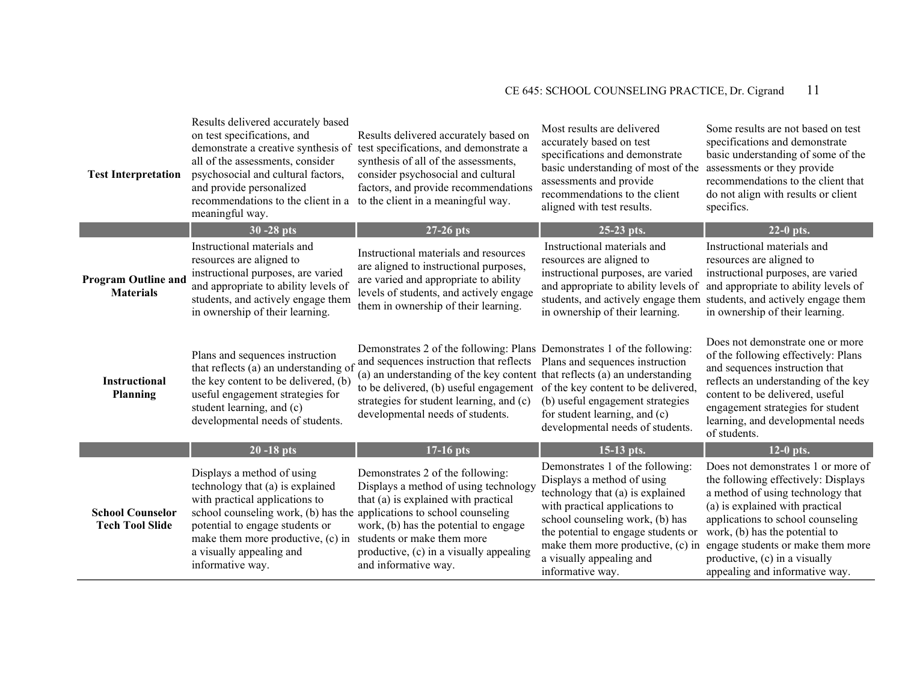| <b>Test Interpretation</b>                        | Results delivered accurately based<br>on test specifications, and<br>demonstrate a creative synthesis of<br>all of the assessments, consider<br>psychosocial and cultural factors,<br>and provide personalized<br>recommendations to the client in a<br>meaningful way. | Results delivered accurately based on<br>test specifications, and demonstrate a<br>synthesis of all of the assessments,<br>consider psychosocial and cultural<br>factors, and provide recommendations<br>to the client in a meaningful way.                                                                                | Most results are delivered<br>accurately based on test<br>specifications and demonstrate<br>basic understanding of most of the<br>assessments and provide<br>recommendations to the client<br>aligned with test results.                                                                            | Some results are not based on test<br>specifications and demonstrate<br>basic understanding of some of the<br>assessments or they provide<br>recommendations to the client that<br>do not align with results or client<br>specifics.                                                                                             |
|---------------------------------------------------|-------------------------------------------------------------------------------------------------------------------------------------------------------------------------------------------------------------------------------------------------------------------------|----------------------------------------------------------------------------------------------------------------------------------------------------------------------------------------------------------------------------------------------------------------------------------------------------------------------------|-----------------------------------------------------------------------------------------------------------------------------------------------------------------------------------------------------------------------------------------------------------------------------------------------------|----------------------------------------------------------------------------------------------------------------------------------------------------------------------------------------------------------------------------------------------------------------------------------------------------------------------------------|
|                                                   | $30 - 28$ pts                                                                                                                                                                                                                                                           | 27-26 pts                                                                                                                                                                                                                                                                                                                  | 25-23 pts.                                                                                                                                                                                                                                                                                          | $22-0$ pts.                                                                                                                                                                                                                                                                                                                      |
| <b>Program Outline and</b><br><b>Materials</b>    | Instructional materials and<br>resources are aligned to<br>instructional purposes, are varied<br>and appropriate to ability levels of<br>students, and actively engage them<br>in ownership of their learning.                                                          | Instructional materials and resources<br>are aligned to instructional purposes,<br>are varied and appropriate to ability<br>levels of students, and actively engage<br>them in ownership of their learning.                                                                                                                | Instructional materials and<br>resources are aligned to<br>instructional purposes, are varied<br>and appropriate to ability levels of<br>in ownership of their learning.                                                                                                                            | Instructional materials and<br>resources are aligned to<br>instructional purposes, are varied<br>and appropriate to ability levels of<br>students, and actively engage them students, and actively engage them<br>in ownership of their learning.                                                                                |
| <b>Instructional</b><br><b>Planning</b>           | Plans and sequences instruction<br>that reflects (a) an understanding of<br>the key content to be delivered, (b)<br>useful engagement strategies for<br>student learning, and (c)<br>developmental needs of students.                                                   | Demonstrates 2 of the following: Plans Demonstrates 1 of the following:<br>and sequences instruction that reflects<br>(a) an understanding of the key content that reflects (a) an understanding<br>to be delivered, (b) useful engagement<br>strategies for student learning, and (c)<br>developmental needs of students. | Plans and sequences instruction<br>of the key content to be delivered,<br>(b) useful engagement strategies<br>for student learning, and (c)<br>developmental needs of students.                                                                                                                     | Does not demonstrate one or more<br>of the following effectively: Plans<br>and sequences instruction that<br>reflects an understanding of the key<br>content to be delivered, useful<br>engagement strategies for student<br>learning, and developmental needs<br>of students.                                                   |
|                                                   | $20 - 18$ pts                                                                                                                                                                                                                                                           | 17-16 pts                                                                                                                                                                                                                                                                                                                  | $15-13$ pts.                                                                                                                                                                                                                                                                                        | $12-0$ pts.                                                                                                                                                                                                                                                                                                                      |
| <b>School Counselor</b><br><b>Tech Tool Slide</b> | Displays a method of using<br>technology that (a) is explained<br>with practical applications to<br>school counseling work, (b) has the<br>potential to engage students or<br>make them more productive, (c) in<br>a visually appealing and<br>informative way.         | Demonstrates 2 of the following:<br>Displays a method of using technology<br>that (a) is explained with practical<br>applications to school counseling<br>work, (b) has the potential to engage<br>students or make them more<br>productive, (c) in a visually appealing<br>and informative way.                           | Demonstrates 1 of the following:<br>Displays a method of using<br>technology that (a) is explained<br>with practical applications to<br>school counseling work, (b) has<br>the potential to engage students or<br>make them more productive, (c) in<br>a visually appealing and<br>informative way. | Does not demonstrates 1 or more of<br>the following effectively: Displays<br>a method of using technology that<br>(a) is explained with practical<br>applications to school counseling<br>work, (b) has the potential to<br>engage students or make them more<br>productive, (c) in a visually<br>appealing and informative way. |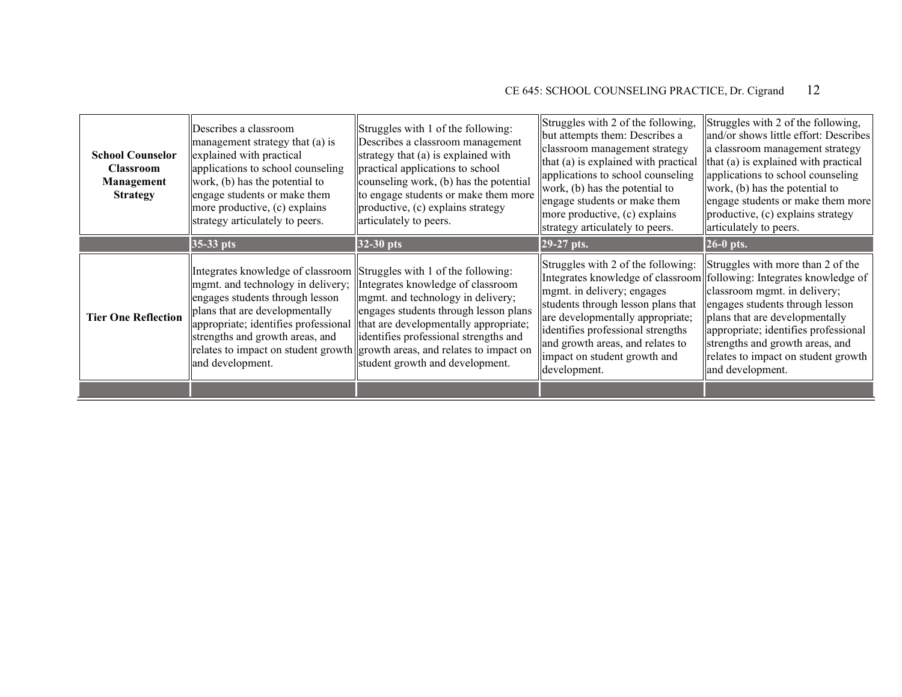| <b>School Counselor</b><br><b>Classroom</b><br>Management<br><b>Strategy</b> | Describes a classroom<br>management strategy that (a) is<br>explained with practical<br>applications to school counseling<br>work, (b) has the potential to<br>engage students or make them<br>more productive, (c) explains<br>strategy articulately to peers. | Struggles with 1 of the following:<br>Describes a classroom management<br>strategy that (a) is explained with<br>practical applications to school<br>counseling work, (b) has the potential<br>to engage students or make them more<br>productive, (c) explains strategy<br>articulately to peers.                                                      | Struggles with 2 of the following,<br>but attempts them: Describes a<br>classroom management strategy<br>that (a) is explained with practical<br>applications to school counseling<br>work, (b) has the potential to<br>engage students or make them<br>more productive, (c) explains<br>strategy articulately to peers. | Struggles with 2 of the following,<br>and/or shows little effort: Describes<br>a classroom management strategy<br>$\ $ that (a) is explained with practical<br>applications to school counseling<br>work, (b) has the potential to<br>engage students or make them more<br>productive, (c) explains strategy<br>articulately to peers.               |
|------------------------------------------------------------------------------|-----------------------------------------------------------------------------------------------------------------------------------------------------------------------------------------------------------------------------------------------------------------|---------------------------------------------------------------------------------------------------------------------------------------------------------------------------------------------------------------------------------------------------------------------------------------------------------------------------------------------------------|--------------------------------------------------------------------------------------------------------------------------------------------------------------------------------------------------------------------------------------------------------------------------------------------------------------------------|------------------------------------------------------------------------------------------------------------------------------------------------------------------------------------------------------------------------------------------------------------------------------------------------------------------------------------------------------|
|                                                                              | $35-33$ pts                                                                                                                                                                                                                                                     | $32-30$ pts                                                                                                                                                                                                                                                                                                                                             | $29-27$ pts.                                                                                                                                                                                                                                                                                                             | $26-0$ pts.                                                                                                                                                                                                                                                                                                                                          |
| <b>Tier One Reflection</b>                                                   | Integrates knowledge of classroom   Struggles with 1 of the following:<br>mgmt. and technology in delivery;<br>engages students through lesson<br>plans that are developmentally<br>strengths and growth areas, and<br>and development.                         | Integrates knowledge of classroom<br>mgmt. and technology in delivery;<br>engages students through lesson plans<br>appropriate; identifies professional that are developmentally appropriate;<br>identifies professional strengths and<br>relates to impact on student growth growth areas, and relates to impact on<br>student growth and development. | Struggles with 2 of the following:<br>mgmt. in delivery; engages<br>students through lesson plans that<br>are developmentally appropriate;<br>identifies professional strengths<br>and growth areas, and relates to<br>impact on student growth and<br>development.                                                      | Struggles with more than 2 of the<br>Integrates knowledge of classroom following: Integrates knowledge of<br>classroom mgmt. in delivery;<br>engages students through lesson<br>plans that are developmentally<br>appropriate; identifies professional<br>strengths and growth areas, and<br>relates to impact on student growth<br>and development. |
|                                                                              |                                                                                                                                                                                                                                                                 |                                                                                                                                                                                                                                                                                                                                                         |                                                                                                                                                                                                                                                                                                                          |                                                                                                                                                                                                                                                                                                                                                      |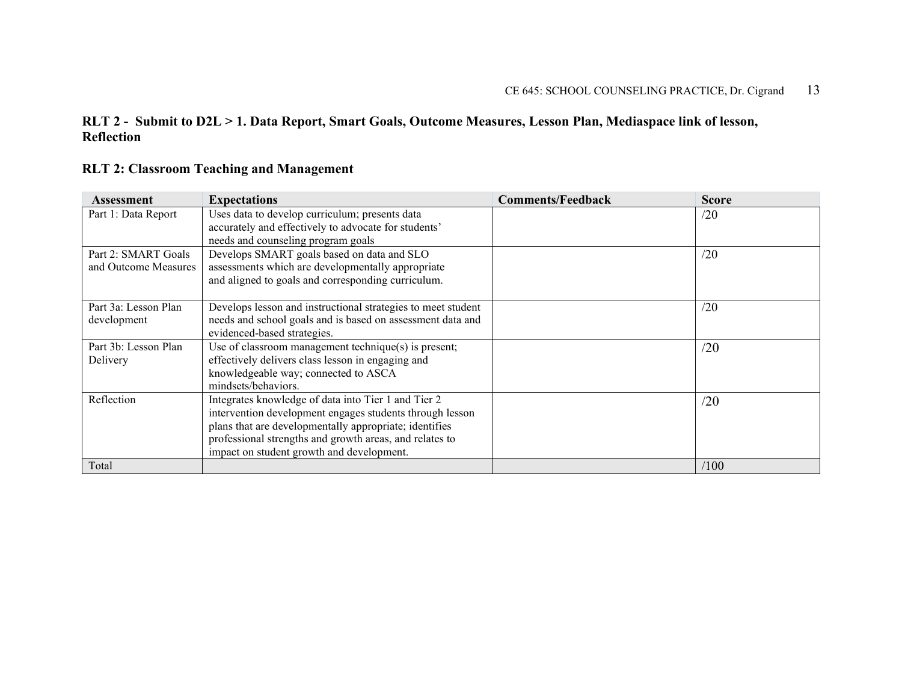#### **RLT 2 - Submit to D2L > 1. Data Report, Smart Goals, Outcome Measures, Lesson Plan, Mediaspace link of lesson, Reflection**

#### **RLT 2: Classroom Teaching and Management**

| <b>Assessment</b>    | <b>Expectations</b>                                          | <b>Comments/Feedback</b> | <b>Score</b> |
|----------------------|--------------------------------------------------------------|--------------------------|--------------|
| Part 1: Data Report  | Uses data to develop curriculum; presents data               |                          | /20          |
|                      | accurately and effectively to advocate for students'         |                          |              |
|                      | needs and counseling program goals                           |                          |              |
| Part 2: SMART Goals  | Develops SMART goals based on data and SLO                   |                          | /20          |
| and Outcome Measures | assessments which are developmentally appropriate            |                          |              |
|                      | and aligned to goals and corresponding curriculum.           |                          |              |
|                      |                                                              |                          |              |
| Part 3a: Lesson Plan | Develops lesson and instructional strategies to meet student |                          | /20          |
| development          | needs and school goals and is based on assessment data and   |                          |              |
|                      | evidenced-based strategies.                                  |                          |              |
| Part 3b: Lesson Plan | Use of classroom management technique(s) is present;         |                          | /20          |
| Delivery             | effectively delivers class lesson in engaging and            |                          |              |
|                      | knowledgeable way; connected to ASCA                         |                          |              |
|                      | mindsets/behaviors.                                          |                          |              |
| Reflection           | Integrates knowledge of data into Tier 1 and Tier 2          |                          | /20          |
|                      | intervention development engages students through lesson     |                          |              |
|                      | plans that are developmentally appropriate; identifies       |                          |              |
|                      | professional strengths and growth areas, and relates to      |                          |              |
|                      | impact on student growth and development.                    |                          |              |
| Total                |                                                              |                          | /100         |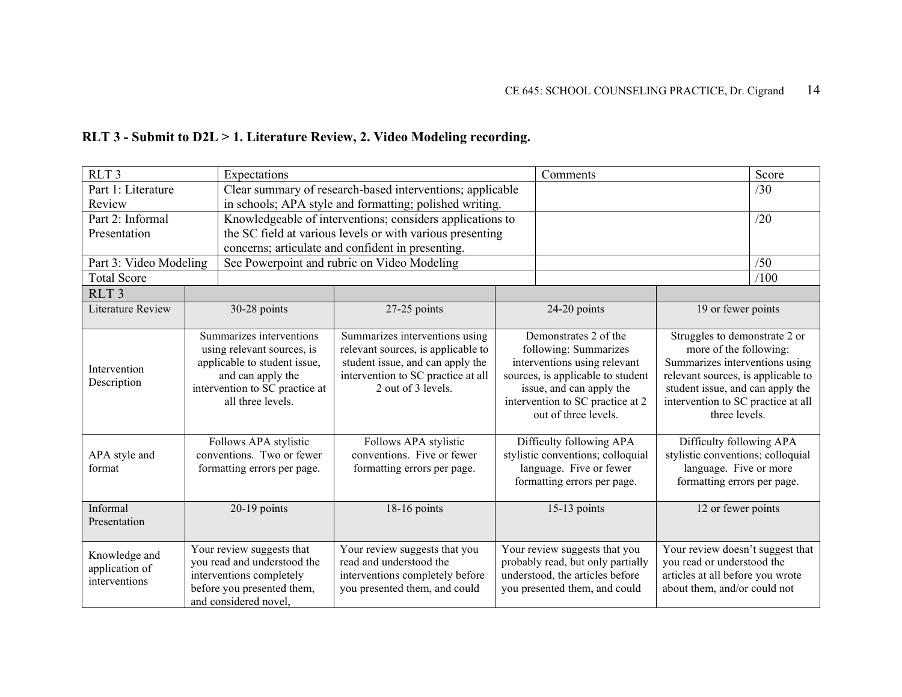| RLT 3 - Submit to D2L > 1. Literature Review, 2. Video Modeling recording. |  |  |  |  |  |  |
|----------------------------------------------------------------------------|--|--|--|--|--|--|
|----------------------------------------------------------------------------|--|--|--|--|--|--|

| RLT <sub>3</sub>                                       | Expectations                                                                                                                                                                                                                                            |                                                                                                                                                                                                                                                            |  | Comments                                                                                                                                                                                                                                                                                                                               |                                                                                                                                                                                                                                                                                                                                                      | Score |
|--------------------------------------------------------|---------------------------------------------------------------------------------------------------------------------------------------------------------------------------------------------------------------------------------------------------------|------------------------------------------------------------------------------------------------------------------------------------------------------------------------------------------------------------------------------------------------------------|--|----------------------------------------------------------------------------------------------------------------------------------------------------------------------------------------------------------------------------------------------------------------------------------------------------------------------------------------|------------------------------------------------------------------------------------------------------------------------------------------------------------------------------------------------------------------------------------------------------------------------------------------------------------------------------------------------------|-------|
| Part 1: Literature                                     |                                                                                                                                                                                                                                                         | Clear summary of research-based interventions; applicable<br>/30                                                                                                                                                                                           |  |                                                                                                                                                                                                                                                                                                                                        |                                                                                                                                                                                                                                                                                                                                                      |       |
| Review                                                 |                                                                                                                                                                                                                                                         | in schools; APA style and formatting; polished writing.                                                                                                                                                                                                    |  |                                                                                                                                                                                                                                                                                                                                        |                                                                                                                                                                                                                                                                                                                                                      |       |
| Part 2: Informal                                       |                                                                                                                                                                                                                                                         | Knowledgeable of interventions; considers applications to                                                                                                                                                                                                  |  |                                                                                                                                                                                                                                                                                                                                        |                                                                                                                                                                                                                                                                                                                                                      | /20   |
| Presentation                                           |                                                                                                                                                                                                                                                         | the SC field at various levels or with various presenting                                                                                                                                                                                                  |  |                                                                                                                                                                                                                                                                                                                                        |                                                                                                                                                                                                                                                                                                                                                      |       |
|                                                        |                                                                                                                                                                                                                                                         | concerns; articulate and confident in presenting.                                                                                                                                                                                                          |  |                                                                                                                                                                                                                                                                                                                                        |                                                                                                                                                                                                                                                                                                                                                      |       |
| Part 3: Video Modeling                                 |                                                                                                                                                                                                                                                         | See Powerpoint and rubric on Video Modeling                                                                                                                                                                                                                |  |                                                                                                                                                                                                                                                                                                                                        |                                                                                                                                                                                                                                                                                                                                                      | /50   |
| <b>Total Score</b>                                     |                                                                                                                                                                                                                                                         |                                                                                                                                                                                                                                                            |  |                                                                                                                                                                                                                                                                                                                                        |                                                                                                                                                                                                                                                                                                                                                      | /100  |
| RLT <sub>3</sub>                                       |                                                                                                                                                                                                                                                         |                                                                                                                                                                                                                                                            |  |                                                                                                                                                                                                                                                                                                                                        |                                                                                                                                                                                                                                                                                                                                                      |       |
| Literature Review                                      | 30-28 points                                                                                                                                                                                                                                            | 27-25 points                                                                                                                                                                                                                                               |  | 24-20 points                                                                                                                                                                                                                                                                                                                           | 19 or fewer points                                                                                                                                                                                                                                                                                                                                   |       |
| Intervention<br>Description<br>APA style and<br>format | Summarizes interventions<br>using relevant sources, is<br>applicable to student issue,<br>and can apply the<br>intervention to SC practice at<br>all three levels.<br>Follows APA stylistic<br>conventions. Two or fewer<br>formatting errors per page. | Summarizes interventions using<br>relevant sources, is applicable to<br>student issue, and can apply the<br>intervention to SC practice at all<br>2 out of 3 levels.<br>Follows APA stylistic<br>conventions. Five or fewer<br>formatting errors per page. |  | Demonstrates 2 of the<br>following: Summarizes<br>interventions using relevant<br>sources, is applicable to student<br>issue, and can apply the<br>intervention to SC practice at 2<br>out of three levels.<br>Difficulty following APA<br>stylistic conventions; colloquial<br>language. Five or fewer<br>formatting errors per page. | Struggles to demonstrate 2 or<br>more of the following:<br>Summarizes interventions using<br>relevant sources, is applicable to<br>student issue, and can apply the<br>intervention to SC practice at all<br>three levels.<br>Difficulty following APA<br>stylistic conventions; colloquial<br>language. Five or more<br>formatting errors per page. |       |
| Informal<br>Presentation                               | 20-19 points                                                                                                                                                                                                                                            | 18-16 points                                                                                                                                                                                                                                               |  | $15-13$ points                                                                                                                                                                                                                                                                                                                         | 12 or fewer points                                                                                                                                                                                                                                                                                                                                   |       |
| Knowledge and<br>application of<br>interventions       | Your review suggests that<br>you read and understood the<br>interventions completely<br>before you presented them,<br>and considered novel,                                                                                                             | Your review suggests that you<br>read and understood the<br>interventions completely before<br>you presented them, and could                                                                                                                               |  | Your review suggests that you<br>probably read, but only partially<br>understood, the articles before<br>you presented them, and could                                                                                                                                                                                                 | Your review doesn't suggest that<br>you read or understood the<br>articles at all before you wrote<br>about them, and/or could not                                                                                                                                                                                                                   |       |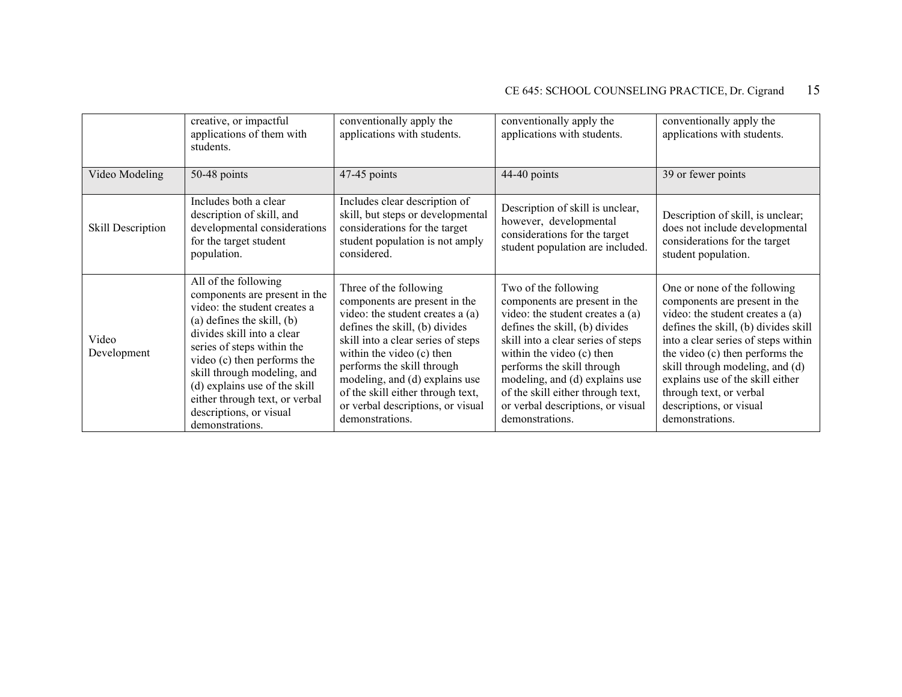|                      | creative, or impactful<br>applications of them with<br>students.                                                                                                                                                                                                                                                                                                   | conventionally apply the<br>applications with students.                                                                                                                                                                                                                                                                                                       | conventionally apply the<br>applications with students.                                                                                                                                                                                                                                                                                                     | conventionally apply the<br>applications with students.                                                                                                                                                                                                                                                                                                             |
|----------------------|--------------------------------------------------------------------------------------------------------------------------------------------------------------------------------------------------------------------------------------------------------------------------------------------------------------------------------------------------------------------|---------------------------------------------------------------------------------------------------------------------------------------------------------------------------------------------------------------------------------------------------------------------------------------------------------------------------------------------------------------|-------------------------------------------------------------------------------------------------------------------------------------------------------------------------------------------------------------------------------------------------------------------------------------------------------------------------------------------------------------|---------------------------------------------------------------------------------------------------------------------------------------------------------------------------------------------------------------------------------------------------------------------------------------------------------------------------------------------------------------------|
| Video Modeling       | 50-48 points                                                                                                                                                                                                                                                                                                                                                       | 47-45 points                                                                                                                                                                                                                                                                                                                                                  | 44-40 points                                                                                                                                                                                                                                                                                                                                                | 39 or fewer points                                                                                                                                                                                                                                                                                                                                                  |
| Skill Description    | Includes both a clear<br>description of skill, and<br>developmental considerations<br>for the target student<br>population.                                                                                                                                                                                                                                        | Includes clear description of<br>skill, but steps or developmental<br>considerations for the target<br>student population is not amply<br>considered.                                                                                                                                                                                                         | Description of skill is unclear,<br>however, developmental<br>considerations for the target<br>student population are included.                                                                                                                                                                                                                             | Description of skill, is unclear;<br>does not include developmental<br>considerations for the target<br>student population.                                                                                                                                                                                                                                         |
| Video<br>Development | All of the following<br>components are present in the<br>video: the student creates a<br>$(a)$ defines the skill, $(b)$<br>divides skill into a clear<br>series of steps within the<br>video (c) then performs the<br>skill through modeling, and<br>(d) explains use of the skill<br>either through text, or verbal<br>descriptions, or visual<br>demonstrations. | Three of the following<br>components are present in the<br>video: the student creates a (a)<br>defines the skill, (b) divides<br>skill into a clear series of steps<br>within the video (c) then<br>performs the skill through<br>modeling, and (d) explains use<br>of the skill either through text,<br>or verbal descriptions, or visual<br>demonstrations. | Two of the following<br>components are present in the<br>video: the student creates a (a)<br>defines the skill, (b) divides<br>skill into a clear series of steps<br>within the video (c) then<br>performs the skill through<br>modeling, and (d) explains use<br>of the skill either through text,<br>or verbal descriptions, or visual<br>demonstrations. | One or none of the following<br>components are present in the<br>video: the student creates a (a)<br>defines the skill, (b) divides skill<br>into a clear series of steps within<br>the video (c) then performs the<br>skill through modeling, and (d)<br>explains use of the skill either<br>through text, or verbal<br>descriptions, or visual<br>demonstrations. |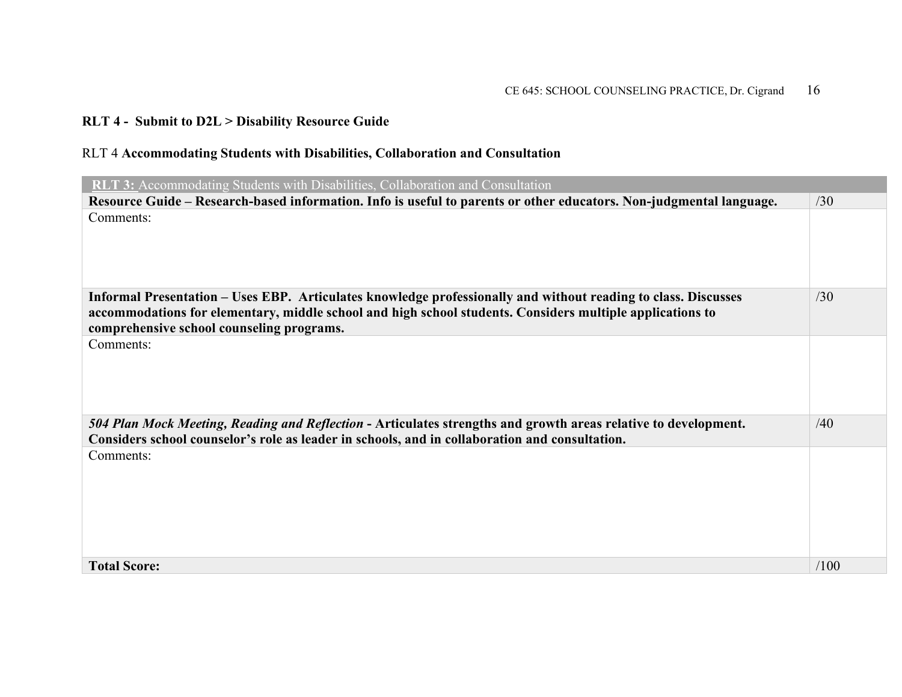### **RLT 4 - Submit to D2L > Disability Resource Guide**

#### RLT 4 **Accommodating Students with Disabilities, Collaboration and Consultation**

| <b>RLT 3:</b> Accommodating Students with Disabilities, Collaboration and Consultation                                                                                                                                                                                   |      |
|--------------------------------------------------------------------------------------------------------------------------------------------------------------------------------------------------------------------------------------------------------------------------|------|
| Resource Guide – Research-based information. Info is useful to parents or other educators. Non-judgmental language.                                                                                                                                                      | /30  |
| Comments:                                                                                                                                                                                                                                                                |      |
|                                                                                                                                                                                                                                                                          |      |
|                                                                                                                                                                                                                                                                          |      |
|                                                                                                                                                                                                                                                                          |      |
| Informal Presentation – Uses EBP. Articulates knowledge professionally and without reading to class. Discusses<br>accommodations for elementary, middle school and high school students. Considers multiple applications to<br>comprehensive school counseling programs. | /30  |
| Comments:                                                                                                                                                                                                                                                                |      |
| 504 Plan Mock Meeting, Reading and Reflection - Articulates strengths and growth areas relative to development.<br>Considers school counselor's role as leader in schools, and in collaboration and consultation.                                                        | /40  |
| Comments:                                                                                                                                                                                                                                                                |      |
|                                                                                                                                                                                                                                                                          |      |
|                                                                                                                                                                                                                                                                          |      |
|                                                                                                                                                                                                                                                                          |      |
|                                                                                                                                                                                                                                                                          |      |
| <b>Total Score:</b>                                                                                                                                                                                                                                                      | /100 |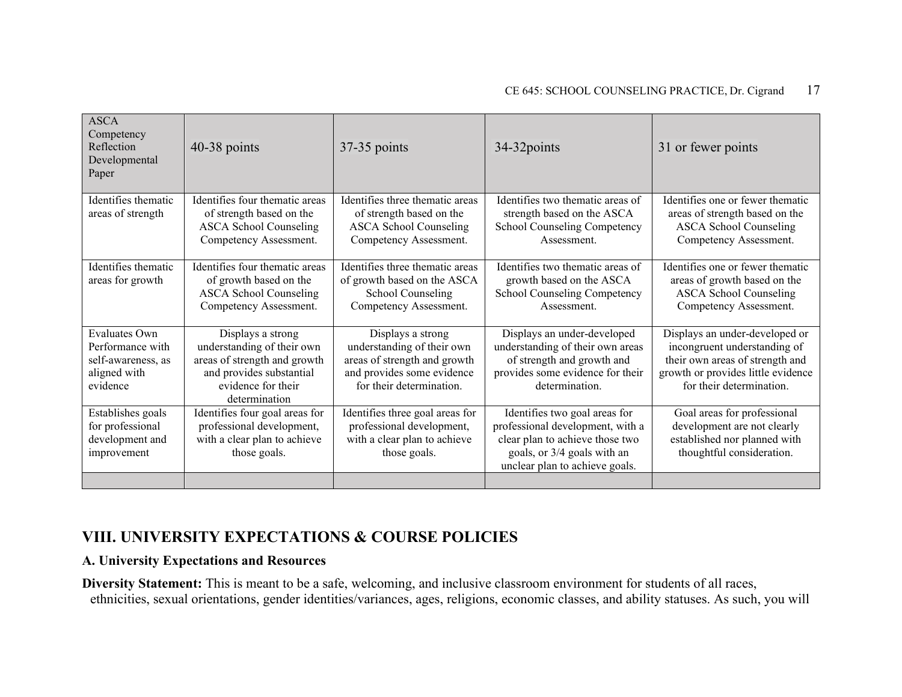| <b>ASCA</b><br>Competency<br>Reflection<br>Developmental<br>Paper                   | $40-38$ points                                                                                                                                     | 37-35 points                                                                                                                              | 34-32 points                                                                                                                                                          | 31 or fewer points                                                                                                                                                  |
|-------------------------------------------------------------------------------------|----------------------------------------------------------------------------------------------------------------------------------------------------|-------------------------------------------------------------------------------------------------------------------------------------------|-----------------------------------------------------------------------------------------------------------------------------------------------------------------------|---------------------------------------------------------------------------------------------------------------------------------------------------------------------|
| Identifies thematic<br>areas of strength                                            | Identifies four thematic areas<br>of strength based on the<br><b>ASCA School Counseling</b><br>Competency Assessment.                              | Identifies three thematic areas<br>of strength based on the<br><b>ASCA School Counseling</b><br>Competency Assessment.                    | Identifies two thematic areas of<br>strength based on the ASCA<br>School Counseling Competency<br>Assessment.                                                         | Identifies one or fewer thematic<br>areas of strength based on the<br><b>ASCA School Counseling</b><br>Competency Assessment.                                       |
| Identifies thematic<br>areas for growth                                             | Identifies four thematic areas<br>of growth based on the<br><b>ASCA School Counseling</b><br>Competency Assessment.                                | Identifies three thematic areas<br>of growth based on the ASCA<br>School Counseling<br>Competency Assessment.                             | Identifies two thematic areas of<br>growth based on the ASCA<br>School Counseling Competency<br>Assessment.                                                           | Identifies one or fewer thematic<br>areas of growth based on the<br><b>ASCA School Counseling</b><br>Competency Assessment.                                         |
| Evaluates Own<br>Performance with<br>self-awareness, as<br>aligned with<br>evidence | Displays a strong<br>understanding of their own<br>areas of strength and growth<br>and provides substantial<br>evidence for their<br>determination | Displays a strong<br>understanding of their own<br>areas of strength and growth<br>and provides some evidence<br>for their determination. | Displays an under-developed<br>understanding of their own areas<br>of strength and growth and<br>provides some evidence for their<br>determination.                   | Displays an under-developed or<br>incongruent understanding of<br>their own areas of strength and<br>growth or provides little evidence<br>for their determination. |
| Establishes goals<br>for professional<br>development and<br>improvement             | Identifies four goal areas for<br>professional development,<br>with a clear plan to achieve<br>those goals.                                        | Identifies three goal areas for<br>professional development,<br>with a clear plan to achieve<br>those goals.                              | Identifies two goal areas for<br>professional development, with a<br>clear plan to achieve those two<br>goals, or 3/4 goals with an<br>unclear plan to achieve goals. | Goal areas for professional<br>development are not clearly<br>established nor planned with<br>thoughtful consideration.                                             |

### **VIII. UNIVERSITY EXPECTATIONS & COURSE POLICIES**

#### **A. University Expectations and Resources**

**Diversity Statement:** This is meant to be a safe, welcoming, and inclusive classroom environment for students of all races, ethnicities, sexual orientations, gender identities/variances, ages, religions, economic classes, and ability statuses. As such, you will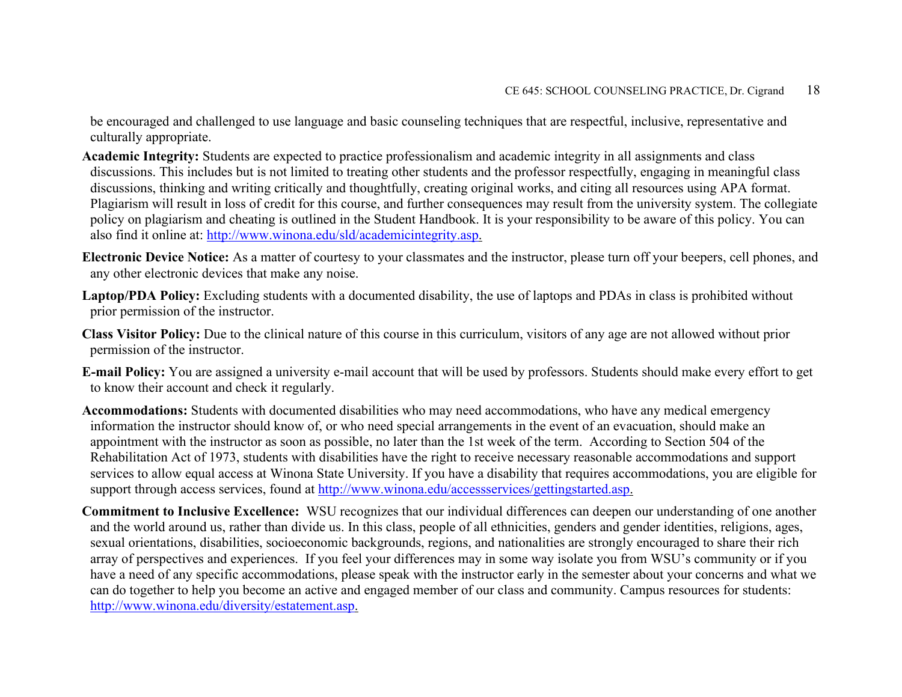be encouraged and challenged to use language and basic counseling techniques that are respectful, inclusive, representative and culturally appropriate.

- **Academic Integrity:** Students are expected to practice professionalism and academic integrity in all assignments and class discussions. This includes but is not limited to treating other students and the professor respectfully, engaging in meaningful class discussions, thinking and writing critically and thoughtfully, creating original works, and citing all resources using APA format. Plagiarism will result in loss of credit for this course, and further consequences may result from the university system. The collegiate policy on plagiarism and cheating is outlined in the Student Handbook. It is your responsibility to be aware of this policy. You can also find it online at: [http://www.winona.edu/sld/academicintegrity.asp.](http://www.winona.edu/sld/academicintegrity.asp)
- **Electronic Device Notice:** As a matter of courtesy to your classmates and the instructor, please turn off your beepers, cell phones, and any other electronic devices that make any noise.
- **Laptop/PDA Policy:** Excluding students with a documented disability, the use of laptops and PDAs in class is prohibited without prior permission of the instructor.
- **Class Visitor Policy:** Due to the clinical nature of this course in this curriculum, visitors of any age are not allowed without prior permission of the instructor.
- **E-mail Policy:** You are assigned a university e-mail account that will be used by professors. Students should make every effort to get to know their account and check it regularly.
- **Accommodations:** Students with documented disabilities who may need accommodations, who have any medical emergency information the instructor should know of, or who need special arrangements in the event of an evacuation, should make an appointment with the instructor as soon as possible, no later than the 1st week of the term. According to Section 504 of the Rehabilitation Act of 1973, students with disabilities have the right to receive necessary reasonable accommodations and support services to allow equal access at Winona State University. If you have a disability that requires accommodations, you are eligible for support through access services, found at [http://www.winona.edu/accessservices/gettingstarted.asp.](http://www.winona.edu/accessservices/gettingstarted.asp)
- **Commitment to Inclusive Excellence:** WSU recognizes that our individual differences can deepen our understanding of one another and the world around us, rather than divide us. In this class, people of all ethnicities, genders and gender identities, religions, ages, sexual orientations, disabilities, socioeconomic backgrounds, regions, and nationalities are strongly encouraged to share their rich array of perspectives and experiences. If you feel your differences may in some way isolate you from WSU's community or if you have a need of any specific accommodations, please speak with the instructor early in the semester about your concerns and what we can do together to help you become an active and engaged member of our class and community. Campus resources for students: [http://www.winona.edu/diversity/estatement.asp.](http://www.winona.edu/diversity/estatement.asp)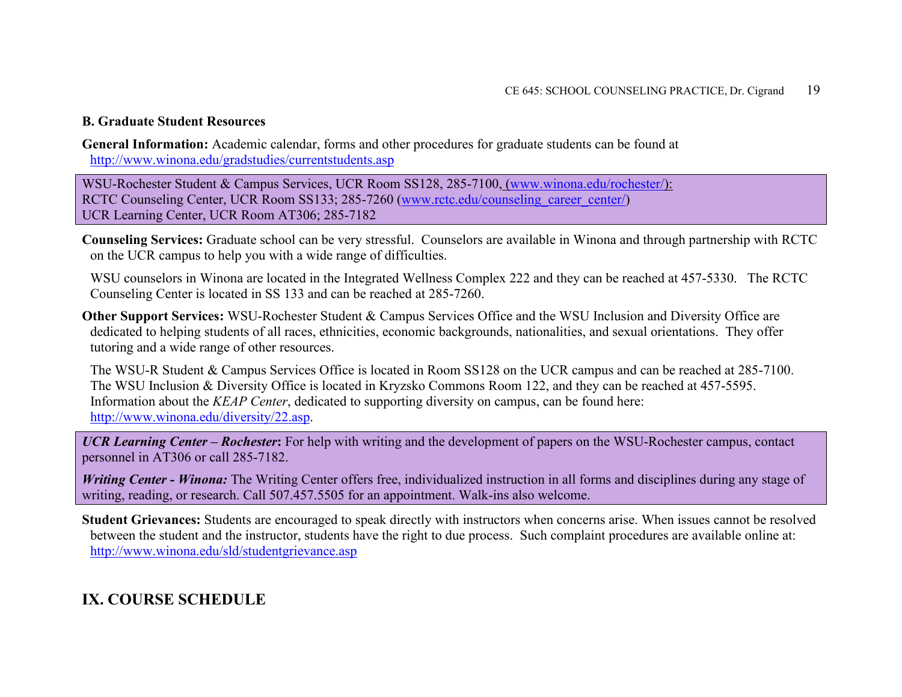#### **B. Graduate Student Resources**

**General Information:** Academic calendar, forms and other procedures for graduate students can be found at <http://www.winona.edu/gradstudies/currentstudents.asp>

WSU-Rochester Student & Campus Services, UCR Room SS128, 285-7100, [\(www.winona.edu/rochester/\)](http://www.winona.edu/rochester/): RCTC Counseling Center, UCR Room SS133; 285-7260 [\(www.rctc.edu/counseling\\_career\\_center/\)](http://www.rctc.edu/counseling_career_center/) UCR Learning Center, UCR Room AT306; 285-7182

**Counseling Services:** Graduate school can be very stressful. Counselors are available in Winona and through partnership with RCTC on the UCR campus to help you with a wide range of difficulties.

WSU counselors in Winona are located in the Integrated Wellness Complex 222 and they can be reached at 457-5330. The RCTC Counseling Center is located in SS 133 and can be reached at 285-7260.

**Other Support Services:** WSU-Rochester Student & Campus Services Office and the WSU Inclusion and Diversity Office are dedicated to helping students of all races, ethnicities, economic backgrounds, nationalities, and sexual orientations. They offer tutoring and a wide range of other resources.

The WSU-R Student & Campus Services Office is located in Room SS128 on the UCR campus and can be reached at 285-7100. The WSU Inclusion & Diversity Office is located in Kryzsko Commons Room 122, and they can be reached at 457-5595. Information about the *KEAP Center*, dedicated to supporting diversity on campus, can be found here: [http://www.winona.edu/diversity/22.asp.](http://www.winona.edu/diversity/22.asp)

*UCR Learning Center – Rochester***:** For help with writing and the development of papers on the WSU-Rochester campus, contact personnel in AT306 or call 285-7182.

*Writing Center - Winona:* The Writing Center offers free, individualized instruction in all forms and disciplines during any stage of writing, reading, or research. Call 507.457.5505 for an appointment. Walk-ins also welcome.

**Student Grievances:** Students are encouraged to speak directly with instructors when concerns arise. When issues cannot be resolved between the student and the instructor, students have the right to due process. Such complaint procedures are available online at: <http://www.winona.edu/sld/studentgrievance.asp>

# **IX. COURSE SCHEDULE**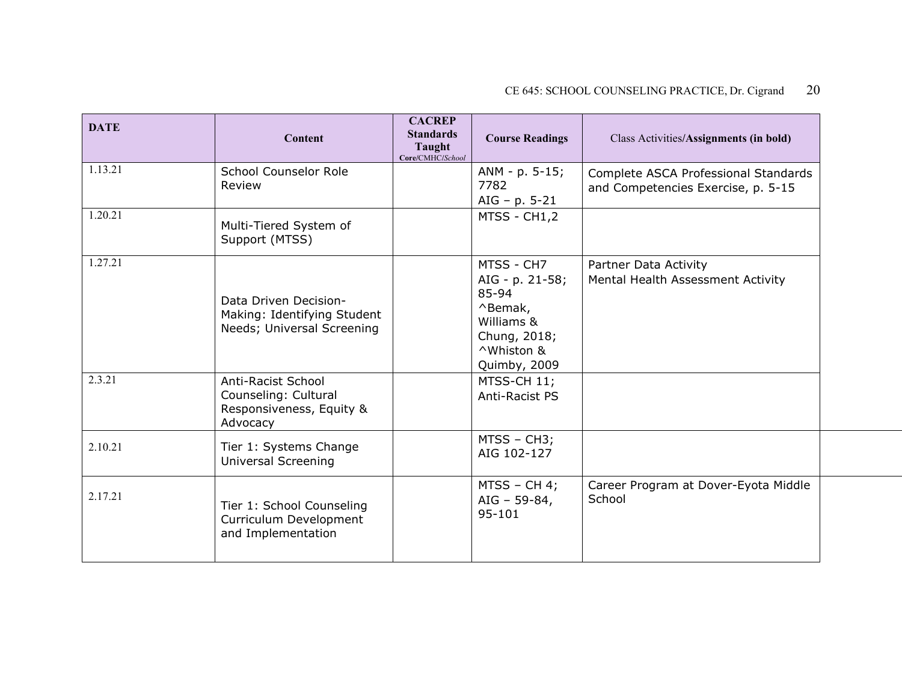| <b>DATE</b> | Content                                                                            | <b>CACREP</b><br><b>Standards</b><br>Taught<br>Core/CMHC/School | <b>Course Readings</b>                                                                                        | Class Activities/Assignments (in bold)                                     |
|-------------|------------------------------------------------------------------------------------|-----------------------------------------------------------------|---------------------------------------------------------------------------------------------------------------|----------------------------------------------------------------------------|
| 1.13.21     | School Counselor Role<br>Review                                                    |                                                                 | ANM - p. 5-15;<br>7782<br>AIG - $p. 5-21$                                                                     | Complete ASCA Professional Standards<br>and Competencies Exercise, p. 5-15 |
| 1.20.21     | Multi-Tiered System of<br>Support (MTSS)                                           |                                                                 | MTSS - CH1,2                                                                                                  |                                                                            |
| 1.27.21     | Data Driven Decision-<br>Making: Identifying Student<br>Needs; Universal Screening |                                                                 | MTSS - CH7<br>AIG - p. 21-58;<br>85-94<br>^Bemak,<br>Williams &<br>Chung, 2018;<br>^Whiston &<br>Quimby, 2009 | Partner Data Activity<br>Mental Health Assessment Activity                 |
| 2.3.21      | Anti-Racist School<br>Counseling: Cultural<br>Responsiveness, Equity &<br>Advocacy |                                                                 | MTSS-CH 11;<br>Anti-Racist PS                                                                                 |                                                                            |
| 2.10.21     | Tier 1: Systems Change<br><b>Universal Screening</b>                               |                                                                 | MTSS - CH3;<br>AIG 102-127                                                                                    |                                                                            |
| 2.17.21     | Tier 1: School Counseling<br>Curriculum Development<br>and Implementation          |                                                                 | $MTSS - CH 4;$<br>AIG - 59-84,<br>$95 - 101$                                                                  | Career Program at Dover-Eyota Middle<br>School                             |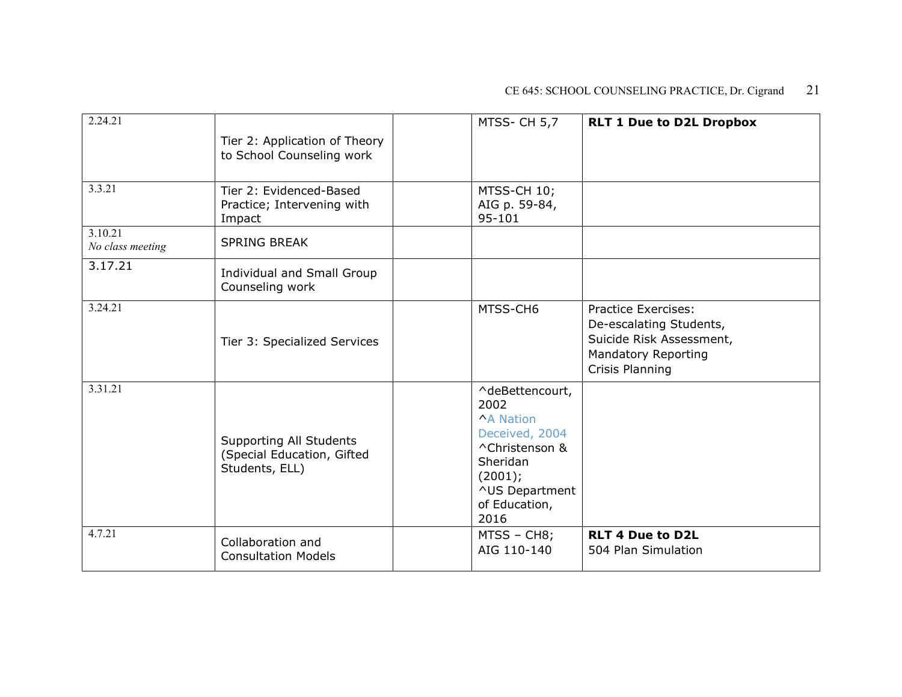| 2.24.21                     | Tier 2: Application of Theory<br>to School Counseling work                     | MTSS-CH 5,7                                                                                                                                       | <b>RLT 1 Due to D2L Dropbox</b>                                                                                             |
|-----------------------------|--------------------------------------------------------------------------------|---------------------------------------------------------------------------------------------------------------------------------------------------|-----------------------------------------------------------------------------------------------------------------------------|
| 3.3.21                      | Tier 2: Evidenced-Based<br>Practice; Intervening with<br>Impact                | MTSS-CH 10;<br>AIG p. 59-84,<br>$95 - 101$                                                                                                        |                                                                                                                             |
| 3.10.21<br>No class meeting | <b>SPRING BREAK</b>                                                            |                                                                                                                                                   |                                                                                                                             |
| 3.17.21                     | Individual and Small Group<br>Counseling work                                  |                                                                                                                                                   |                                                                                                                             |
| 3.24.21                     | Tier 3: Specialized Services                                                   | MTSS-CH6                                                                                                                                          | <b>Practice Exercises:</b><br>De-escalating Students,<br>Suicide Risk Assessment,<br>Mandatory Reporting<br>Crisis Planning |
| 3.31.21                     | <b>Supporting All Students</b><br>(Special Education, Gifted<br>Students, ELL) | ^deBettencourt,<br>2002<br><b>^A Nation</b><br>Deceived, 2004<br>^Christenson &<br>Sheridan<br>(2001);<br>^US Department<br>of Education,<br>2016 |                                                                                                                             |
| 4.7.21                      | Collaboration and<br><b>Consultation Models</b>                                | MTSS - CH8;<br>AIG 110-140                                                                                                                        | <b>RLT 4 Due to D2L</b><br>504 Plan Simulation                                                                              |